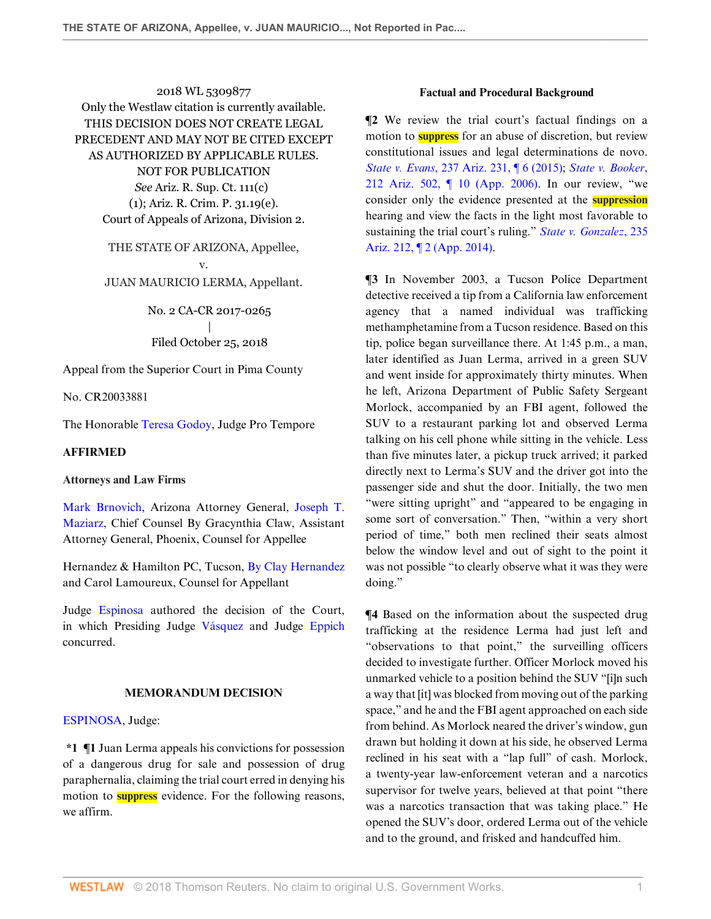2018 WL 5309877 Only the Westlaw citation is currently available. THIS DECISION DOES NOT CREATE LEGAL PRECEDENT AND MAY NOT BE CITED EXCEPT AS AUTHORIZED BY APPLICABLE RULES. NOT FOR PUBLICATION *See* Ariz. R. Sup. Ct. 111(c) (1); Ariz. R. Crim. P. 31.19(e). Court of Appeals of Arizona, Division 2.

> THE STATE OF ARIZONA, Appellee, v. JUAN MAURICIO LERMA, Appellant.

> > No. 2 CA-CR 2017-0265 | Filed October 25, 2018

Appeal from the Superior Court in Pima County

No. CR20033881

The Honorable [Teresa Godoy](http://www.westlaw.com/Link/Document/FullText?findType=h&pubNum=176284&cite=0430931601&originatingDoc=I6e949b00d9de11e8a1b0e6625e646f8f&refType=RQ&originationContext=document&vr=3.0&rs=cblt1.0&transitionType=DocumentItem&contextData=(sc.Search)), Judge Pro Tempore

## **AFFIRMED**

### **Attorneys and Law Firms**

[Mark Brnovich](http://www.westlaw.com/Link/Document/FullText?findType=h&pubNum=176284&cite=0259564201&originatingDoc=I6e949b00d9de11e8a1b0e6625e646f8f&refType=RQ&originationContext=document&vr=3.0&rs=cblt1.0&transitionType=DocumentItem&contextData=(sc.Search)), Arizona Attorney General, [Joseph T.](http://www.westlaw.com/Link/Document/FullText?findType=h&pubNum=176284&cite=0259332601&originatingDoc=I6e949b00d9de11e8a1b0e6625e646f8f&refType=RQ&originationContext=document&vr=3.0&rs=cblt1.0&transitionType=DocumentItem&contextData=(sc.Search)) [Maziarz](http://www.westlaw.com/Link/Document/FullText?findType=h&pubNum=176284&cite=0259332601&originatingDoc=I6e949b00d9de11e8a1b0e6625e646f8f&refType=RQ&originationContext=document&vr=3.0&rs=cblt1.0&transitionType=DocumentItem&contextData=(sc.Search)), Chief Counsel By Gracynthia Claw, Assistant Attorney General, Phoenix, Counsel for Appellee

Hernandez & Hamilton PC, Tucson, [By Clay Hernandez](http://www.westlaw.com/Link/Document/FullText?findType=h&pubNum=176284&cite=0229264401&originatingDoc=I6e949b00d9de11e8a1b0e6625e646f8f&refType=RQ&originationContext=document&vr=3.0&rs=cblt1.0&transitionType=DocumentItem&contextData=(sc.Search)) and Carol Lamoureux, Counsel for Appellant

Judge [Espinosa](http://www.westlaw.com/Link/Document/FullText?findType=h&pubNum=176284&cite=0135479901&originatingDoc=I6e949b00d9de11e8a1b0e6625e646f8f&refType=RQ&originationContext=document&vr=3.0&rs=cblt1.0&transitionType=DocumentItem&contextData=(sc.Search)) authored the decision of the Court, in which Presiding Judge [Vásquez](http://www.westlaw.com/Link/Document/FullText?findType=h&pubNum=176284&cite=0201711601&originatingDoc=I6e949b00d9de11e8a1b0e6625e646f8f&refType=RQ&originationContext=document&vr=3.0&rs=cblt1.0&transitionType=DocumentItem&contextData=(sc.Search)) and Judge [Eppich](http://www.westlaw.com/Link/Document/FullText?findType=h&pubNum=176284&cite=0390638101&originatingDoc=I6e949b00d9de11e8a1b0e6625e646f8f&refType=RQ&originationContext=document&vr=3.0&rs=cblt1.0&transitionType=DocumentItem&contextData=(sc.Search)) concurred.

# **MEMORANDUM DECISION**

### [ESPINOSA](http://www.westlaw.com/Link/Document/FullText?findType=h&pubNum=176284&cite=0135479901&originatingDoc=I6e949b00d9de11e8a1b0e6625e646f8f&refType=RQ&originationContext=document&vr=3.0&rs=cblt1.0&transitionType=DocumentItem&contextData=(sc.Search)), Judge:

**\*1 ¶1** Juan Lerma appeals his convictions for possession of a dangerous drug for sale and possession of drug paraphernalia, claiming the trial court erred in denying his motion to **suppress** evidence. For the following reasons, we affirm.

### **Factual and Procedural Background**

**¶2** We review the trial court's factual findings on a motion to **suppress** for an abuse of discretion, but review constitutional issues and legal determinations de novo. *State v. Evans*[, 237 Ariz. 231, ¶ 6 \(2015\);](http://www.westlaw.com/Link/Document/FullText?findType=Y&serNum=2036398968&pubNum=0000156&originatingDoc=I6e949b00d9de11e8a1b0e6625e646f8f&refType=RP&originationContext=document&vr=3.0&rs=cblt1.0&transitionType=DocumentItem&contextData=(sc.Search)) *[State v. Booker](http://www.westlaw.com/Link/Document/FullText?findType=Y&serNum=2009180980&pubNum=0000156&originatingDoc=I6e949b00d9de11e8a1b0e6625e646f8f&refType=RP&originationContext=document&vr=3.0&rs=cblt1.0&transitionType=DocumentItem&contextData=(sc.Search))*, [212 Ariz. 502, ¶ 10 \(App. 2006\)](http://www.westlaw.com/Link/Document/FullText?findType=Y&serNum=2009180980&pubNum=0000156&originatingDoc=I6e949b00d9de11e8a1b0e6625e646f8f&refType=RP&originationContext=document&vr=3.0&rs=cblt1.0&transitionType=DocumentItem&contextData=(sc.Search)). In our review, "we consider only the evidence presented at the **suppression** hearing and view the facts in the light most favorable to sustaining the trial court's ruling." *[State v. Gonzalez](http://www.westlaw.com/Link/Document/FullText?findType=Y&serNum=2033853351&pubNum=0000156&originatingDoc=I6e949b00d9de11e8a1b0e6625e646f8f&refType=RP&originationContext=document&vr=3.0&rs=cblt1.0&transitionType=DocumentItem&contextData=(sc.Search))*, 235 [Ariz. 212, ¶ 2 \(App. 2014\)](http://www.westlaw.com/Link/Document/FullText?findType=Y&serNum=2033853351&pubNum=0000156&originatingDoc=I6e949b00d9de11e8a1b0e6625e646f8f&refType=RP&originationContext=document&vr=3.0&rs=cblt1.0&transitionType=DocumentItem&contextData=(sc.Search)).

**¶3** In November 2003, a Tucson Police Department detective received a tip from a California law enforcement agency that a named individual was trafficking methamphetamine from a Tucson residence. Based on this tip, police began surveillance there. At 1:45 p.m., a man, later identified as Juan Lerma, arrived in a green SUV and went inside for approximately thirty minutes. When he left, Arizona Department of Public Safety Sergeant Morlock, accompanied by an FBI agent, followed the SUV to a restaurant parking lot and observed Lerma talking on his cell phone while sitting in the vehicle. Less than five minutes later, a pickup truck arrived; it parked directly next to Lerma's SUV and the driver got into the passenger side and shut the door. Initially, the two men "were sitting upright" and "appeared to be engaging in some sort of conversation." Then, "within a very short period of time," both men reclined their seats almost below the window level and out of sight to the point it was not possible "to clearly observe what it was they were doing."

**¶4** Based on the information about the suspected drug trafficking at the residence Lerma had just left and "observations to that point," the surveilling officers decided to investigate further. Officer Morlock moved his unmarked vehicle to a position behind the SUV "[i]n such a way that [it] was blocked from moving out of the parking space," and he and the FBI agent approached on each side from behind. As Morlock neared the driver's window, gun drawn but holding it down at his side, he observed Lerma reclined in his seat with a "lap full" of cash. Morlock, a twenty-year law-enforcement veteran and a narcotics supervisor for twelve years, believed at that point "there was a narcotics transaction that was taking place." He opened the SUV's door, ordered Lerma out of the vehicle and to the ground, and frisked and handcuffed him.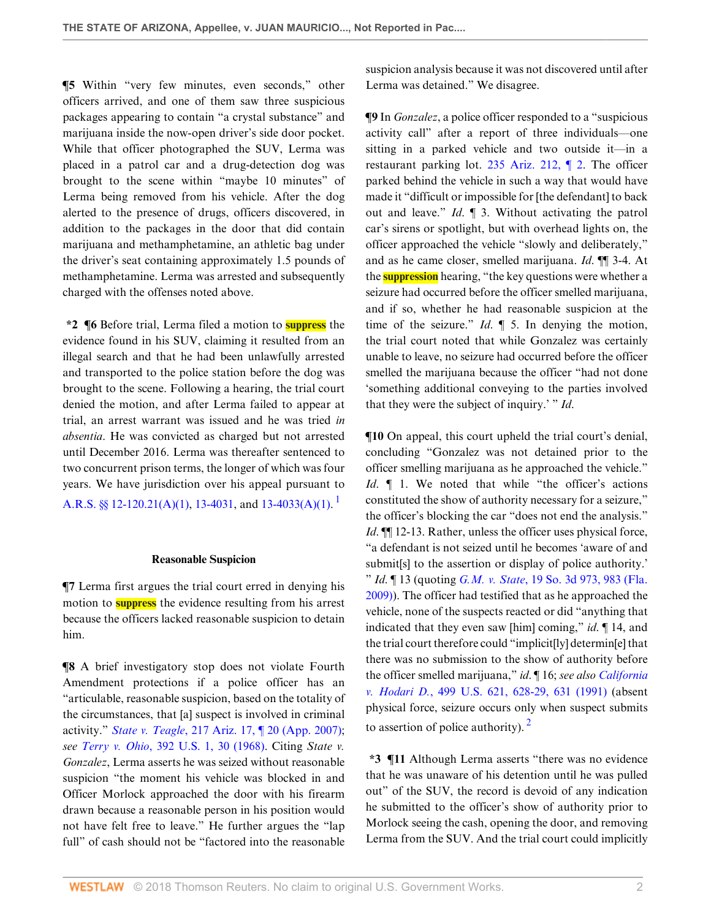**¶5** Within "very few minutes, even seconds," other officers arrived, and one of them saw three suspicious packages appearing to contain "a crystal substance" and marijuana inside the now-open driver's side door pocket. While that officer photographed the SUV, Lerma was placed in a patrol car and a drug-detection dog was brought to the scene within "maybe 10 minutes" of Lerma being removed from his vehicle. After the dog alerted to the presence of drugs, officers discovered, in addition to the packages in the door that did contain marijuana and methamphetamine, an athletic bag under the driver's seat containing approximately 1.5 pounds of methamphetamine. Lerma was arrested and subsequently charged with the offenses noted above.

**\*2 ¶6** Before trial, Lerma filed a motion to **suppress** the evidence found in his SUV, claiming it resulted from an illegal search and that he had been unlawfully arrested and transported to the police station before the dog was brought to the scene. Following a hearing, the trial court denied the motion, and after Lerma failed to appear at trial, an arrest warrant was issued and he was tried *in absentia*. He was convicted as charged but not arrested until December 2016. Lerma was thereafter sentenced to two concurrent prison terms, the longer of which was four years. We have jurisdiction over his appeal pursuant to [A.R.S. §§ 12-120.21\(A\)\(1\),](http://www.westlaw.com/Link/Document/FullText?findType=L&pubNum=1000251&cite=AZSTS12-120.21&originatingDoc=I6e949b00d9de11e8a1b0e6625e646f8f&refType=LQ&originationContext=document&vr=3.0&rs=cblt1.0&transitionType=DocumentItem&contextData=(sc.Search)) [13-4031](http://www.westlaw.com/Link/Document/FullText?findType=L&pubNum=1000251&cite=AZSTS13-4031&originatingDoc=I6e949b00d9de11e8a1b0e6625e646f8f&refType=LQ&originationContext=document&vr=3.0&rs=cblt1.0&transitionType=DocumentItem&contextData=(sc.Search)), and [13-4033\(A\)\(1\)](http://www.westlaw.com/Link/Document/FullText?findType=L&pubNum=1000251&cite=AZSTS13-4033&originatingDoc=I6e949b00d9de11e8a1b0e6625e646f8f&refType=LQ&originationContext=document&vr=3.0&rs=cblt1.0&transitionType=DocumentItem&contextData=(sc.Search)). <sup>[1](#page-3-0)</sup>

#### **Reasonable Suspicion**

**¶7** Lerma first argues the trial court erred in denying his motion to **suppress** the evidence resulting from his arrest because the officers lacked reasonable suspicion to detain him.

**¶8** A brief investigatory stop does not violate Fourth Amendment protections if a police officer has an "articulable, reasonable suspicion, based on the totality of the circumstances, that [a] suspect is involved in criminal activity." *State v. Teagle*[, 217 Ariz. 17, ¶ 20 \(App. 2007\)](http://www.westlaw.com/Link/Document/FullText?findType=Y&serNum=2013885202&pubNum=0000156&originatingDoc=I6e949b00d9de11e8a1b0e6625e646f8f&refType=RP&originationContext=document&vr=3.0&rs=cblt1.0&transitionType=DocumentItem&contextData=(sc.Search)); *see Terry v. Ohio*[, 392 U.S. 1, 30 \(1968\).](http://www.westlaw.com/Link/Document/FullText?findType=Y&serNum=1968131212&pubNum=0000780&originatingDoc=I6e949b00d9de11e8a1b0e6625e646f8f&refType=RP&fi=co_pp_sp_780_30&originationContext=document&vr=3.0&rs=cblt1.0&transitionType=DocumentItem&contextData=(sc.Search)#co_pp_sp_780_30) Citing *State v. Gonzalez*, Lerma asserts he was seized without reasonable suspicion "the moment his vehicle was blocked in and Officer Morlock approached the door with his firearm drawn because a reasonable person in his position would not have felt free to leave." He further argues the "lap full" of cash should not be "factored into the reasonable suspicion analysis because it was not discovered until after Lerma was detained." We disagree.

**¶9** In *Gonzalez*, a police officer responded to a "suspicious activity call" after a report of three individuals—one sitting in a parked vehicle and two outside it—in a restaurant parking lot. [235 Ariz. 212, ¶ 2.](http://www.westlaw.com/Link/Document/FullText?findType=Y&serNum=2033853351&pubNum=0000156&originatingDoc=I6e949b00d9de11e8a1b0e6625e646f8f&refType=RP&originationContext=document&vr=3.0&rs=cblt1.0&transitionType=DocumentItem&contextData=(sc.Search)) The officer parked behind the vehicle in such a way that would have made it "difficult or impossible for [the defendant] to back out and leave." *Id*. ¶ 3. Without activating the patrol car's sirens or spotlight, but with overhead lights on, the officer approached the vehicle "slowly and deliberately," and as he came closer, smelled marijuana. *Id*. ¶¶ 3-4. At the **suppression** hearing, "the key questions were whether a seizure had occurred before the officer smelled marijuana, and if so, whether he had reasonable suspicion at the time of the seizure." *Id*. ¶ 5. In denying the motion, the trial court noted that while Gonzalez was certainly unable to leave, no seizure had occurred before the officer smelled the marijuana because the officer "had not done 'something additional conveying to the parties involved that they were the subject of inquiry.' " *Id*.

<span id="page-1-0"></span>**¶10** On appeal, this court upheld the trial court's denial, concluding "Gonzalez was not detained prior to the officer smelling marijuana as he approached the vehicle." *Id*.  $\parallel$  1. We noted that while "the officer's actions constituted the show of authority necessary for a seizure," the officer's blocking the car "does not end the analysis." *Id.*  $\llbracket \parallel$  12-13. Rather, unless the officer uses physical force, "a defendant is not seized until he becomes 'aware of and submit[s] to the assertion or display of police authority.' " *Id*. ¶ 13 (quoting *G.M. v. State*[, 19 So. 3d 973, 983 \(Fla.](http://www.westlaw.com/Link/Document/FullText?findType=Y&serNum=2019979852&pubNum=0003926&originatingDoc=I6e949b00d9de11e8a1b0e6625e646f8f&refType=RP&fi=co_pp_sp_3926_983&originationContext=document&vr=3.0&rs=cblt1.0&transitionType=DocumentItem&contextData=(sc.Search)#co_pp_sp_3926_983) [2009\)](http://www.westlaw.com/Link/Document/FullText?findType=Y&serNum=2019979852&pubNum=0003926&originatingDoc=I6e949b00d9de11e8a1b0e6625e646f8f&refType=RP&fi=co_pp_sp_3926_983&originationContext=document&vr=3.0&rs=cblt1.0&transitionType=DocumentItem&contextData=(sc.Search)#co_pp_sp_3926_983)). The officer had testified that as he approached the vehicle, none of the suspects reacted or did "anything that indicated that they even saw [him] coming," *id*. ¶ 14, and the trial court therefore could "implicit[ly] determin[e] that there was no submission to the show of authority before the officer smelled marijuana," *id*. ¶ 16; *see also [California](http://www.westlaw.com/Link/Document/FullText?findType=Y&serNum=1991078910&pubNum=0000780&originatingDoc=I6e949b00d9de11e8a1b0e6625e646f8f&refType=RP&fi=co_pp_sp_780_628&originationContext=document&vr=3.0&rs=cblt1.0&transitionType=DocumentItem&contextData=(sc.Search)#co_pp_sp_780_628) v. Hodari D.*[, 499 U.S. 621, 628-29, 631 \(1991\)](http://www.westlaw.com/Link/Document/FullText?findType=Y&serNum=1991078910&pubNum=0000780&originatingDoc=I6e949b00d9de11e8a1b0e6625e646f8f&refType=RP&fi=co_pp_sp_780_628&originationContext=document&vr=3.0&rs=cblt1.0&transitionType=DocumentItem&contextData=(sc.Search)#co_pp_sp_780_628) (absent physical force, seizure occurs only when suspect submits to assertion of police authority).  $\frac{2}{3}$  $\frac{2}{3}$  $\frac{2}{3}$ 

<span id="page-1-1"></span>**\*3 ¶11** Although Lerma asserts "there was no evidence that he was unaware of his detention until he was pulled out" of the SUV, the record is devoid of any indication he submitted to the officer's show of authority prior to Morlock seeing the cash, opening the door, and removing Lerma from the SUV. And the trial court could implicitly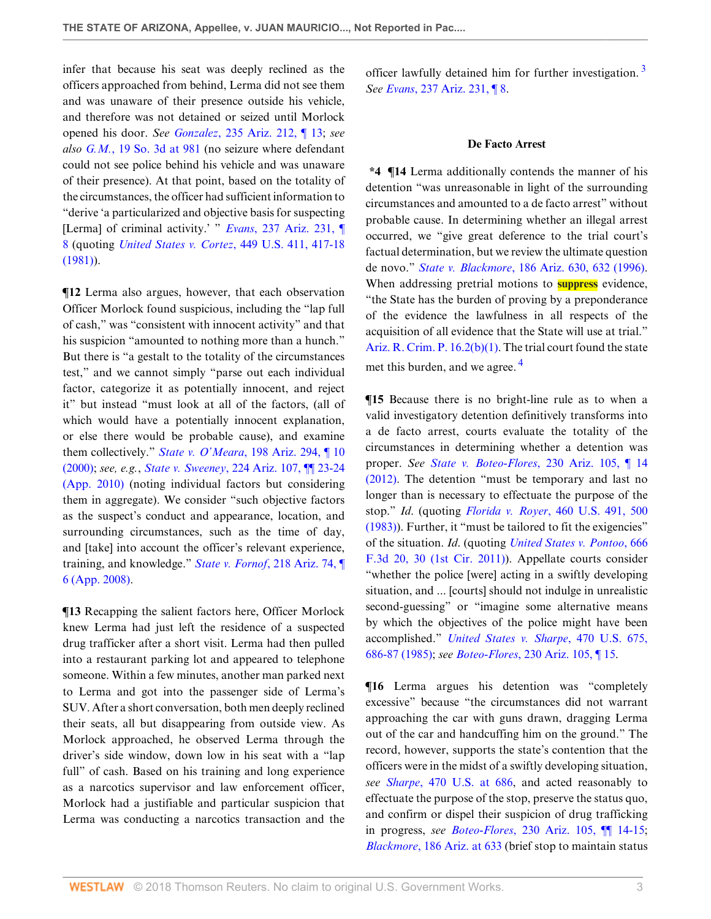infer that because his seat was deeply reclined as the officers approached from behind, Lerma did not see them and was unaware of their presence outside his vehicle, and therefore was not detained or seized until Morlock opened his door. *See Gonzalez*[, 235 Ariz. 212, ¶ 13;](http://www.westlaw.com/Link/Document/FullText?findType=Y&serNum=2033853351&pubNum=0000156&originatingDoc=I6e949b00d9de11e8a1b0e6625e646f8f&refType=RP&originationContext=document&vr=3.0&rs=cblt1.0&transitionType=DocumentItem&contextData=(sc.Search)) *see also G.M.*[, 19 So. 3d at 981](http://www.westlaw.com/Link/Document/FullText?findType=Y&serNum=2019979852&pubNum=0003926&originatingDoc=I6e949b00d9de11e8a1b0e6625e646f8f&refType=RP&fi=co_pp_sp_3926_981&originationContext=document&vr=3.0&rs=cblt1.0&transitionType=DocumentItem&contextData=(sc.Search)#co_pp_sp_3926_981) (no seizure where defendant could not see police behind his vehicle and was unaware of their presence). At that point, based on the totality of the circumstances, the officer had sufficient information to "derive 'a particularized and objective basis for suspecting [Lerma] of criminal activity.' " *Evans*[, 237 Ariz. 231, ¶](http://www.westlaw.com/Link/Document/FullText?findType=Y&serNum=2036398968&pubNum=0000156&originatingDoc=I6e949b00d9de11e8a1b0e6625e646f8f&refType=RP&originationContext=document&vr=3.0&rs=cblt1.0&transitionType=DocumentItem&contextData=(sc.Search)) [8](http://www.westlaw.com/Link/Document/FullText?findType=Y&serNum=2036398968&pubNum=0000156&originatingDoc=I6e949b00d9de11e8a1b0e6625e646f8f&refType=RP&originationContext=document&vr=3.0&rs=cblt1.0&transitionType=DocumentItem&contextData=(sc.Search)) (quoting *[United States v. Cortez](http://www.westlaw.com/Link/Document/FullText?findType=Y&serNum=1981103158&pubNum=0000780&originatingDoc=I6e949b00d9de11e8a1b0e6625e646f8f&refType=RP&fi=co_pp_sp_780_417&originationContext=document&vr=3.0&rs=cblt1.0&transitionType=DocumentItem&contextData=(sc.Search)#co_pp_sp_780_417)*, 449 U.S. 411, 417-18 [\(1981\)\)](http://www.westlaw.com/Link/Document/FullText?findType=Y&serNum=1981103158&pubNum=0000780&originatingDoc=I6e949b00d9de11e8a1b0e6625e646f8f&refType=RP&fi=co_pp_sp_780_417&originationContext=document&vr=3.0&rs=cblt1.0&transitionType=DocumentItem&contextData=(sc.Search)#co_pp_sp_780_417).

**¶12** Lerma also argues, however, that each observation Officer Morlock found suspicious, including the "lap full of cash," was "consistent with innocent activity" and that his suspicion "amounted to nothing more than a hunch." But there is "a gestalt to the totality of the circumstances test," and we cannot simply "parse out each individual factor, categorize it as potentially innocent, and reject it" but instead "must look at all of the factors, (all of which would have a potentially innocent explanation, or else there would be probable cause), and examine them collectively." *State v. O'Meara*[, 198 Ariz. 294, ¶ 10](http://www.westlaw.com/Link/Document/FullText?findType=Y&serNum=2000495062&pubNum=0000156&originatingDoc=I6e949b00d9de11e8a1b0e6625e646f8f&refType=RP&originationContext=document&vr=3.0&rs=cblt1.0&transitionType=DocumentItem&contextData=(sc.Search)) [\(2000\);](http://www.westlaw.com/Link/Document/FullText?findType=Y&serNum=2000495062&pubNum=0000156&originatingDoc=I6e949b00d9de11e8a1b0e6625e646f8f&refType=RP&originationContext=document&vr=3.0&rs=cblt1.0&transitionType=DocumentItem&contextData=(sc.Search)) *see, e.g.*, *State v. Sweeney*[, 224 Ariz. 107, ¶¶ 23-24](http://www.westlaw.com/Link/Document/FullText?findType=Y&serNum=2021662457&pubNum=0000156&originatingDoc=I6e949b00d9de11e8a1b0e6625e646f8f&refType=RP&originationContext=document&vr=3.0&rs=cblt1.0&transitionType=DocumentItem&contextData=(sc.Search)) [\(App. 2010\)](http://www.westlaw.com/Link/Document/FullText?findType=Y&serNum=2021662457&pubNum=0000156&originatingDoc=I6e949b00d9de11e8a1b0e6625e646f8f&refType=RP&originationContext=document&vr=3.0&rs=cblt1.0&transitionType=DocumentItem&contextData=(sc.Search)) (noting individual factors but considering them in aggregate). We consider "such objective factors as the suspect's conduct and appearance, location, and surrounding circumstances, such as the time of day, and [take] into account the officer's relevant experience, training, and knowledge." *State v. Fornof*[, 218 Ariz. 74, ¶](http://www.westlaw.com/Link/Document/FullText?findType=Y&serNum=2015560990&pubNum=0000156&originatingDoc=I6e949b00d9de11e8a1b0e6625e646f8f&refType=RP&originationContext=document&vr=3.0&rs=cblt1.0&transitionType=DocumentItem&contextData=(sc.Search)) [6 \(App. 2008\)](http://www.westlaw.com/Link/Document/FullText?findType=Y&serNum=2015560990&pubNum=0000156&originatingDoc=I6e949b00d9de11e8a1b0e6625e646f8f&refType=RP&originationContext=document&vr=3.0&rs=cblt1.0&transitionType=DocumentItem&contextData=(sc.Search)).

**¶13** Recapping the salient factors here, Officer Morlock knew Lerma had just left the residence of a suspected drug trafficker after a short visit. Lerma had then pulled into a restaurant parking lot and appeared to telephone someone. Within a few minutes, another man parked next to Lerma and got into the passenger side of Lerma's SUV. After a short conversation, both men deeply reclined their seats, all but disappearing from outside view. As Morlock approached, he observed Lerma through the driver's side window, down low in his seat with a "lap full" of cash. Based on his training and long experience as a narcotics supervisor and law enforcement officer, Morlock had a justifiable and particular suspicion that Lerma was conducting a narcotics transaction and the officer lawfully detained him for further investigation. [3](#page-3-2) *See Evans*[, 237 Ariz. 231, ¶ 8.](http://www.westlaw.com/Link/Document/FullText?findType=Y&serNum=2036398968&pubNum=0000156&originatingDoc=I6e949b00d9de11e8a1b0e6625e646f8f&refType=RP&originationContext=document&vr=3.0&rs=cblt1.0&transitionType=DocumentItem&contextData=(sc.Search))

### <span id="page-2-0"></span>**De Facto Arrest**

**\*4 ¶14** Lerma additionally contends the manner of his detention "was unreasonable in light of the surrounding circumstances and amounted to a de facto arrest" without probable cause. In determining whether an illegal arrest occurred, we "give great deference to the trial court's factual determination, but we review the ultimate question de novo." *State v. Blackmore*[, 186 Ariz. 630, 632 \(1996\)](http://www.westlaw.com/Link/Document/FullText?findType=Y&serNum=1996200483&pubNum=0000156&originatingDoc=I6e949b00d9de11e8a1b0e6625e646f8f&refType=RP&fi=co_pp_sp_156_632&originationContext=document&vr=3.0&rs=cblt1.0&transitionType=DocumentItem&contextData=(sc.Search)#co_pp_sp_156_632). When addressing pretrial motions to **suppress** evidence, "the State has the burden of proving by a preponderance of the evidence the lawfulness in all respects of the acquisition of all evidence that the State will use at trial." [Ariz. R. Crim. P. 16.2\(b\)\(1\)](http://www.westlaw.com/Link/Document/FullText?findType=L&pubNum=1003573&cite=AZSTRCRPR16.2&originatingDoc=I6e949b00d9de11e8a1b0e6625e646f8f&refType=LQ&originationContext=document&vr=3.0&rs=cblt1.0&transitionType=DocumentItem&contextData=(sc.Search)). The trial court found the state met this burden, and we agree. [4](#page-3-3)

<span id="page-2-1"></span>**¶15** Because there is no bright-line rule as to when a valid investigatory detention definitively transforms into a de facto arrest, courts evaluate the totality of the circumstances in determining whether a detention was proper. *See State v. Boteo-Flores*[, 230 Ariz. 105, ¶ 14](http://www.westlaw.com/Link/Document/FullText?findType=Y&serNum=2028174959&pubNum=0000156&originatingDoc=I6e949b00d9de11e8a1b0e6625e646f8f&refType=RP&originationContext=document&vr=3.0&rs=cblt1.0&transitionType=DocumentItem&contextData=(sc.Search)) [\(2012\).](http://www.westlaw.com/Link/Document/FullText?findType=Y&serNum=2028174959&pubNum=0000156&originatingDoc=I6e949b00d9de11e8a1b0e6625e646f8f&refType=RP&originationContext=document&vr=3.0&rs=cblt1.0&transitionType=DocumentItem&contextData=(sc.Search)) The detention "must be temporary and last no longer than is necessary to effectuate the purpose of the stop." *Id*. (quoting *Florida v. Royer*[, 460 U.S. 491, 500](http://www.westlaw.com/Link/Document/FullText?findType=Y&serNum=1983113926&pubNum=0000780&originatingDoc=I6e949b00d9de11e8a1b0e6625e646f8f&refType=RP&fi=co_pp_sp_780_500&originationContext=document&vr=3.0&rs=cblt1.0&transitionType=DocumentItem&contextData=(sc.Search)#co_pp_sp_780_500) [\(1983\)\)](http://www.westlaw.com/Link/Document/FullText?findType=Y&serNum=1983113926&pubNum=0000780&originatingDoc=I6e949b00d9de11e8a1b0e6625e646f8f&refType=RP&fi=co_pp_sp_780_500&originationContext=document&vr=3.0&rs=cblt1.0&transitionType=DocumentItem&contextData=(sc.Search)#co_pp_sp_780_500). Further, it "must be tailored to fit the exigencies" of the situation. *Id*. (quoting *[United States v. Pontoo](http://www.westlaw.com/Link/Document/FullText?findType=Y&serNum=2026620704&pubNum=0000506&originatingDoc=I6e949b00d9de11e8a1b0e6625e646f8f&refType=RP&fi=co_pp_sp_506_30&originationContext=document&vr=3.0&rs=cblt1.0&transitionType=DocumentItem&contextData=(sc.Search)#co_pp_sp_506_30)*, 666 [F.3d 20, 30 \(1st Cir. 2011\)](http://www.westlaw.com/Link/Document/FullText?findType=Y&serNum=2026620704&pubNum=0000506&originatingDoc=I6e949b00d9de11e8a1b0e6625e646f8f&refType=RP&fi=co_pp_sp_506_30&originationContext=document&vr=3.0&rs=cblt1.0&transitionType=DocumentItem&contextData=(sc.Search)#co_pp_sp_506_30)). Appellate courts consider "whether the police [were] acting in a swiftly developing situation, and ... [courts] should not indulge in unrealistic second-guessing" or "imagine some alternative means by which the objectives of the police might have been accomplished." *[United States v. Sharpe](http://www.westlaw.com/Link/Document/FullText?findType=Y&serNum=1985114095&pubNum=0000780&originatingDoc=I6e949b00d9de11e8a1b0e6625e646f8f&refType=RP&fi=co_pp_sp_780_686&originationContext=document&vr=3.0&rs=cblt1.0&transitionType=DocumentItem&contextData=(sc.Search)#co_pp_sp_780_686)*, 470 U.S. 675, [686-87 \(1985\)](http://www.westlaw.com/Link/Document/FullText?findType=Y&serNum=1985114095&pubNum=0000780&originatingDoc=I6e949b00d9de11e8a1b0e6625e646f8f&refType=RP&fi=co_pp_sp_780_686&originationContext=document&vr=3.0&rs=cblt1.0&transitionType=DocumentItem&contextData=(sc.Search)#co_pp_sp_780_686); *see Boteo-Flores*[, 230 Ariz. 105, ¶ 15](http://www.westlaw.com/Link/Document/FullText?findType=Y&serNum=2028174959&pubNum=0000156&originatingDoc=I6e949b00d9de11e8a1b0e6625e646f8f&refType=RP&originationContext=document&vr=3.0&rs=cblt1.0&transitionType=DocumentItem&contextData=(sc.Search)).

**¶16** Lerma argues his detention was "completely excessive" because "the circumstances did not warrant approaching the car with guns drawn, dragging Lerma out of the car and handcuffing him on the ground." The record, however, supports the state's contention that the officers were in the midst of a swiftly developing situation, *see Sharpe*[, 470 U.S. at 686,](http://www.westlaw.com/Link/Document/FullText?findType=Y&serNum=1985114095&pubNum=0000780&originatingDoc=I6e949b00d9de11e8a1b0e6625e646f8f&refType=RP&fi=co_pp_sp_780_686&originationContext=document&vr=3.0&rs=cblt1.0&transitionType=DocumentItem&contextData=(sc.Search)#co_pp_sp_780_686) and acted reasonably to effectuate the purpose of the stop, preserve the status quo, and confirm or dispel their suspicion of drug trafficking in progress, *see Boteo-Flores*[, 230 Ariz. 105, ¶¶ 14-15](http://www.westlaw.com/Link/Document/FullText?findType=Y&serNum=2028174959&pubNum=0000156&originatingDoc=I6e949b00d9de11e8a1b0e6625e646f8f&refType=RP&originationContext=document&vr=3.0&rs=cblt1.0&transitionType=DocumentItem&contextData=(sc.Search)); *Blackmore*[, 186 Ariz. at 633](http://www.westlaw.com/Link/Document/FullText?findType=Y&serNum=1996200483&pubNum=0000156&originatingDoc=I6e949b00d9de11e8a1b0e6625e646f8f&refType=RP&fi=co_pp_sp_156_633&originationContext=document&vr=3.0&rs=cblt1.0&transitionType=DocumentItem&contextData=(sc.Search)#co_pp_sp_156_633) (brief stop to maintain status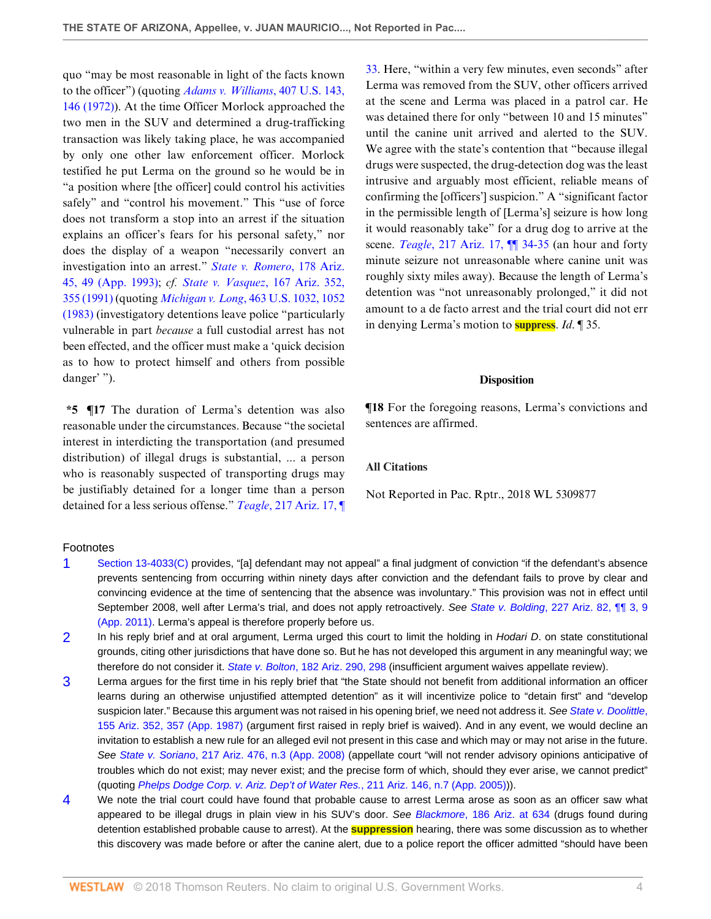quo "may be most reasonable in light of the facts known to the officer") (quoting *[Adams v. Williams](http://www.westlaw.com/Link/Document/FullText?findType=Y&serNum=1972127142&pubNum=0000780&originatingDoc=I6e949b00d9de11e8a1b0e6625e646f8f&refType=RP&fi=co_pp_sp_780_146&originationContext=document&vr=3.0&rs=cblt1.0&transitionType=DocumentItem&contextData=(sc.Search)#co_pp_sp_780_146)*, 407 U.S. 143, [146 \(1972\)](http://www.westlaw.com/Link/Document/FullText?findType=Y&serNum=1972127142&pubNum=0000780&originatingDoc=I6e949b00d9de11e8a1b0e6625e646f8f&refType=RP&fi=co_pp_sp_780_146&originationContext=document&vr=3.0&rs=cblt1.0&transitionType=DocumentItem&contextData=(sc.Search)#co_pp_sp_780_146)). At the time Officer Morlock approached the two men in the SUV and determined a drug-trafficking transaction was likely taking place, he was accompanied by only one other law enforcement officer. Morlock testified he put Lerma on the ground so he would be in "a position where [the officer] could control his activities safely" and "control his movement." This "use of force does not transform a stop into an arrest if the situation explains an officer's fears for his personal safety," nor does the display of a weapon "necessarily convert an investigation into an arrest." *[State v. Romero](http://www.westlaw.com/Link/Document/FullText?findType=Y&serNum=1993169567&pubNum=0000156&originatingDoc=I6e949b00d9de11e8a1b0e6625e646f8f&refType=RP&fi=co_pp_sp_156_49&originationContext=document&vr=3.0&rs=cblt1.0&transitionType=DocumentItem&contextData=(sc.Search)#co_pp_sp_156_49)*, 178 Ariz. [45, 49 \(App. 1993\)](http://www.westlaw.com/Link/Document/FullText?findType=Y&serNum=1993169567&pubNum=0000156&originatingDoc=I6e949b00d9de11e8a1b0e6625e646f8f&refType=RP&fi=co_pp_sp_156_49&originationContext=document&vr=3.0&rs=cblt1.0&transitionType=DocumentItem&contextData=(sc.Search)#co_pp_sp_156_49); *cf. [State v. Vasquez](http://www.westlaw.com/Link/Document/FullText?findType=Y&serNum=1991038745&pubNum=0000156&originatingDoc=I6e949b00d9de11e8a1b0e6625e646f8f&refType=RP&fi=co_pp_sp_156_355&originationContext=document&vr=3.0&rs=cblt1.0&transitionType=DocumentItem&contextData=(sc.Search)#co_pp_sp_156_355)*, 167 Ariz. 352, [355 \(1991\)](http://www.westlaw.com/Link/Document/FullText?findType=Y&serNum=1991038745&pubNum=0000156&originatingDoc=I6e949b00d9de11e8a1b0e6625e646f8f&refType=RP&fi=co_pp_sp_156_355&originationContext=document&vr=3.0&rs=cblt1.0&transitionType=DocumentItem&contextData=(sc.Search)#co_pp_sp_156_355) (quoting *Michigan v. Long*[, 463 U.S. 1032, 1052](http://www.westlaw.com/Link/Document/FullText?findType=Y&serNum=1983131593&pubNum=0000780&originatingDoc=I6e949b00d9de11e8a1b0e6625e646f8f&refType=RP&fi=co_pp_sp_780_1052&originationContext=document&vr=3.0&rs=cblt1.0&transitionType=DocumentItem&contextData=(sc.Search)#co_pp_sp_780_1052) [\(1983\)](http://www.westlaw.com/Link/Document/FullText?findType=Y&serNum=1983131593&pubNum=0000780&originatingDoc=I6e949b00d9de11e8a1b0e6625e646f8f&refType=RP&fi=co_pp_sp_780_1052&originationContext=document&vr=3.0&rs=cblt1.0&transitionType=DocumentItem&contextData=(sc.Search)#co_pp_sp_780_1052) (investigatory detentions leave police "particularly vulnerable in part *because* a full custodial arrest has not been effected, and the officer must make a 'quick decision as to how to protect himself and others from possible danger' ").

**\*5 ¶17** The duration of Lerma's detention was also reasonable under the circumstances. Because "the societal interest in interdicting the transportation (and presumed distribution) of illegal drugs is substantial, ... a person who is reasonably suspected of transporting drugs may be justifiably detained for a longer time than a person detained for a less serious offense." *Teagle*[, 217 Ariz. 17, ¶](http://www.westlaw.com/Link/Document/FullText?findType=Y&serNum=2013885202&pubNum=0000156&originatingDoc=I6e949b00d9de11e8a1b0e6625e646f8f&refType=RP&originationContext=document&vr=3.0&rs=cblt1.0&transitionType=DocumentItem&contextData=(sc.Search)) [33](http://www.westlaw.com/Link/Document/FullText?findType=Y&serNum=2013885202&pubNum=0000156&originatingDoc=I6e949b00d9de11e8a1b0e6625e646f8f&refType=RP&originationContext=document&vr=3.0&rs=cblt1.0&transitionType=DocumentItem&contextData=(sc.Search)). Here, "within a very few minutes, even seconds" after Lerma was removed from the SUV, other officers arrived at the scene and Lerma was placed in a patrol car. He was detained there for only "between 10 and 15 minutes" until the canine unit arrived and alerted to the SUV. We agree with the state's contention that "because illegal drugs were suspected, the drug-detection dog was the least intrusive and arguably most efficient, reliable means of confirming the [officers'] suspicion." A "significant factor in the permissible length of [Lerma's] seizure is how long it would reasonably take" for a drug dog to arrive at the scene. *Teagle*[, 217 Ariz. 17, ¶¶ 34-35](http://www.westlaw.com/Link/Document/FullText?findType=Y&serNum=2013885202&pubNum=0000156&originatingDoc=I6e949b00d9de11e8a1b0e6625e646f8f&refType=RP&originationContext=document&vr=3.0&rs=cblt1.0&transitionType=DocumentItem&contextData=(sc.Search)) (an hour and forty minute seizure not unreasonable where canine unit was roughly sixty miles away). Because the length of Lerma's detention was "not unreasonably prolonged," it did not amount to a de facto arrest and the trial court did not err in denying Lerma's motion to **suppress**. *Id*. ¶ 35.

#### **Disposition**

**¶18** For the foregoing reasons, Lerma's convictions and sentences are affirmed.

# **All Citations**

Not Reported in Pac. Rptr., 2018 WL 5309877

#### Footnotes

- <span id="page-3-0"></span>[1](#page-1-0) [Section 13-4033\(C\)](http://www.westlaw.com/Link/Document/FullText?findType=L&pubNum=1000251&cite=AZSTS13-4033&originatingDoc=I6e949b00d9de11e8a1b0e6625e646f8f&refType=LQ&originationContext=document&vr=3.0&rs=cblt1.0&transitionType=DocumentItem&contextData=(sc.Search)) provides, "[a] defendant may not appeal" a final judgment of conviction "if the defendant's absence prevents sentencing from occurring within ninety days after conviction and the defendant fails to prove by clear and convincing evidence at the time of sentencing that the absence was involuntary." This provision was not in effect until September 2008, well after Lerma's trial, and does not apply retroactively. See State v. Bolding[, 227 Ariz. 82, ¶¶ 3, 9](http://www.westlaw.com/Link/Document/FullText?findType=Y&serNum=2024984731&pubNum=0000156&originatingDoc=I6e949b00d9de11e8a1b0e6625e646f8f&refType=RP&originationContext=document&vr=3.0&rs=cblt1.0&transitionType=DocumentItem&contextData=(sc.Search)) [\(App. 2011\)](http://www.westlaw.com/Link/Document/FullText?findType=Y&serNum=2024984731&pubNum=0000156&originatingDoc=I6e949b00d9de11e8a1b0e6625e646f8f&refType=RP&originationContext=document&vr=3.0&rs=cblt1.0&transitionType=DocumentItem&contextData=(sc.Search)). Lerma's appeal is therefore properly before us.
- <span id="page-3-1"></span>[2](#page-1-1) In his reply brief and at oral argument, Lerma urged this court to limit the holding in Hodari D. on state constitutional grounds, citing other jurisdictions that have done so. But he has not developed this argument in any meaningful way; we therefore do not consider it. State v. Bolton[, 182 Ariz. 290, 298](http://www.westlaw.com/Link/Document/FullText?findType=Y&serNum=1995127462&pubNum=0000156&originatingDoc=I6e949b00d9de11e8a1b0e6625e646f8f&refType=RP&fi=co_pp_sp_156_298&originationContext=document&vr=3.0&rs=cblt1.0&transitionType=DocumentItem&contextData=(sc.Search)#co_pp_sp_156_298) (insufficient argument waives appellate review).
- <span id="page-3-2"></span>[3](#page-2-0) Lerma argues for the first time in his reply brief that "the State should not benefit from additional information an officer learns during an otherwise unjustified attempted detention" as it will incentivize police to "detain first" and "develop suspicion later." Because this argument was not raised in his opening brief, we need not address it. See [State v. Doolittle](http://www.westlaw.com/Link/Document/FullText?findType=Y&serNum=1987101470&pubNum=0000156&originatingDoc=I6e949b00d9de11e8a1b0e6625e646f8f&refType=RP&fi=co_pp_sp_156_357&originationContext=document&vr=3.0&rs=cblt1.0&transitionType=DocumentItem&contextData=(sc.Search)#co_pp_sp_156_357), [155 Ariz. 352, 357 \(App. 1987\)](http://www.westlaw.com/Link/Document/FullText?findType=Y&serNum=1987101470&pubNum=0000156&originatingDoc=I6e949b00d9de11e8a1b0e6625e646f8f&refType=RP&fi=co_pp_sp_156_357&originationContext=document&vr=3.0&rs=cblt1.0&transitionType=DocumentItem&contextData=(sc.Search)#co_pp_sp_156_357) (argument first raised in reply brief is waived). And in any event, we would decline an invitation to establish a new rule for an alleged evil not present in this case and which may or may not arise in the future. See State v. Soriano[, 217 Ariz. 476, n.3 \(App. 2008\)](http://www.westlaw.com/Link/Document/FullText?findType=Y&serNum=2014946619&pubNum=0000156&originatingDoc=I6e949b00d9de11e8a1b0e6625e646f8f&refType=RP&originationContext=document&vr=3.0&rs=cblt1.0&transitionType=DocumentItem&contextData=(sc.Search)) (appellate court "will not render advisory opinions anticipative of troubles which do not exist; may never exist; and the precise form of which, should they ever arise, we cannot predict" (quoting [Phelps Dodge Corp. v. Ariz. Dep't of Water Res.](http://www.westlaw.com/Link/Document/FullText?findType=Y&serNum=2007228724&pubNum=0000156&originatingDoc=I6e949b00d9de11e8a1b0e6625e646f8f&refType=RP&originationContext=document&vr=3.0&rs=cblt1.0&transitionType=DocumentItem&contextData=(sc.Search)), 211 Ariz. 146, n.7 (App. 2005))).
- <span id="page-3-3"></span>[4](#page-2-1) We note the trial court could have found that probable cause to arrest Lerma arose as soon as an officer saw what appeared to be illegal drugs in plain view in his SUV's door. See Blackmore[, 186 Ariz. at 634](http://www.westlaw.com/Link/Document/FullText?findType=Y&serNum=1996200483&pubNum=0000156&originatingDoc=I6e949b00d9de11e8a1b0e6625e646f8f&refType=RP&fi=co_pp_sp_156_634&originationContext=document&vr=3.0&rs=cblt1.0&transitionType=DocumentItem&contextData=(sc.Search)#co_pp_sp_156_634) (drugs found during detention established probable cause to arrest). At the **suppression** hearing, there was some discussion as to whether this discovery was made before or after the canine alert, due to a police report the officer admitted "should have been